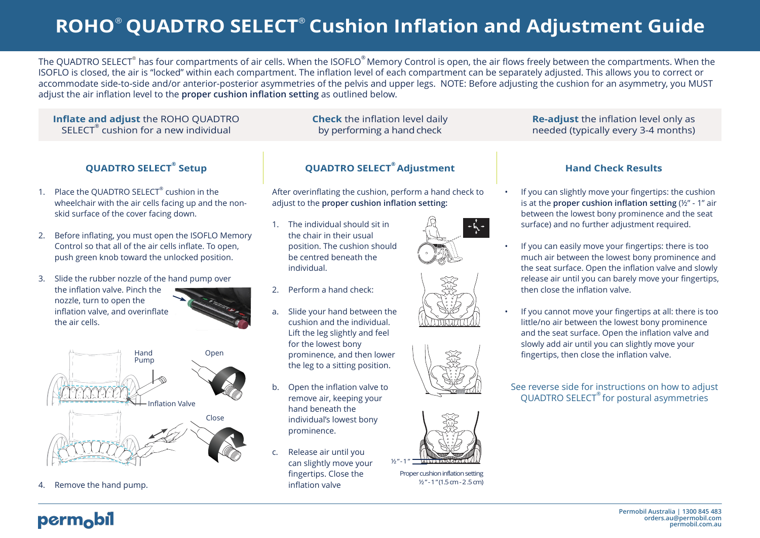# **ROHO**® **QUADTRO SELECT® Cushion Inflation and Adjustment Guide**

The QUADTRO SELECT® has four compartments of air cells. When the ISOFLO® Memory Control is open, the air flows freely between the compartments. When the ISOFLO is closed, the air is "locked" within each compartment. The inflation level of each compartment can be separately adjusted. This allows you to correct or accommodate side-to-side and/or anterior-posterior asymmetries of the pelvis and upper legs. NOTE: Before adjusting the cushion for an asymmetry, you MUST adjust the air inflation level to the **proper cushion inflation setting** as outlined below.

> **Check** the inflation level daily by performing a hand check

#### **Inflate and adjust** the ROHO QUADTRO  $\mathsf{SELECT}^\circ$  cushion for a new individual

### **QUADTRO SELECT®**

- 1. Place the QUADTRO SELECT<sup>®</sup> cushion in the wheelchair with the air cells facing up and the nonskid surface of the cover facing down.
- 2. Before inflating, you must open the ISOFLO Memory Control so that all of the air cells inflate. To open, push green knob toward the unlocked position.
- 3. Slide the rubber nozzle of the hand pump over the inflation valve. Pinch the nozzle, turn to open the inflation valve, and overinflate the air cells.



4. Remove the hand pump.

## **QUADTRO SELECT<sup>®</sup> Adjustment**

After overinflating the cushion, perform a hand check to adjust to the **proper cushion inflation setting:**

- 1. The individual should sit in the chair in their usual position. The cushion should be centred beneath the individual.
- 2. Perform a hand check:
- a. Slide your hand between the cushion and the individual. Lift the leg slightly and feel for the lowest bony prominence, and then lower the leg to a sitting position.
- b. Open the inflation valve to remove air, keeping your hand beneath the individual's lowest bony prominence.
- c. Release air until you can slightly move your fingertips. Close the inflation valve









Proper cushion inflation setting ½" -1 "(1.5cm -2.5cm)

### **Re-adjust** the inflation level only as needed (typically every 3-4 months)

### **Hand Check Results**

- If you can slightly move your fingertips: the cushion is at the **proper cushion inflation setting** (½" - 1" air between the lowest bony prominence and the seat surface) and no further adjustment required.
- If you can easily move your fingertips: there is too much air between the lowest bony prominence and the seat surface. Open the inflation valve and slowly release air until you can barely move your fingertips, then close the inflation valve.
- If you cannot move your fingertips at all: there is too little/no air between the lowest bony prominence and the seat surface. Open the inflation valve and slowly add air until you can slightly move your fingertips, then close the inflation valve.

#### See reverse side for instructions on how to adjust QUADTRO SELECT® for postural asymmetries